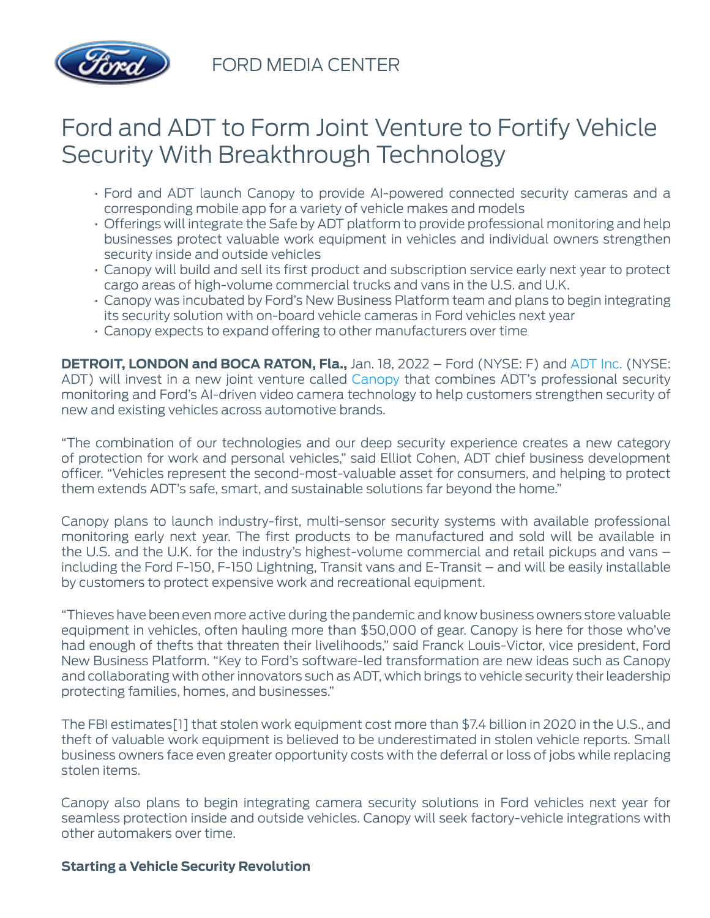

FORD MEDIA CENTER

# Ford and ADT to Form Joint Venture to Fortify Vehicle Security With Breakthrough Technology

- Ford and ADT launch Canopy to provide AI-powered connected security cameras and a corresponding mobile app for a variety of vehicle makes and models
- Offerings will integrate the Safe by ADT platform to provide professional monitoring and help businesses protect valuable work equipment in vehicles and individual owners strengthen security inside and outside vehicles
- Canopy will build and sell its first product and subscription service early next year to protect cargo areas of high-volume commercial trucks and vans in the U.S. and U.K.
- Canopy was incubated by Ford's New Business Platform team and plans to begin integrating its security solution with on-board vehicle cameras in Ford vehicles next year
- Canopy expects to expand offering to other manufacturers over time

**DETROIT, LONDON and BOCA RATON, Fla.,** Jan. 18, 2022 – Ford (NYSE: F) and [ADT Inc.](http://www.adt.com/) (NYSE: ADT) will invest in a new joint venture called [Canopy](http://www.canopy.security/) that combines ADT's professional security monitoring and Ford's AI-driven video camera technology to help customers strengthen security of new and existing vehicles across automotive brands.

"The combination of our technologies and our deep security experience creates a new category of protection for work and personal vehicles," said Elliot Cohen, ADT chief business development officer. "Vehicles represent the second-most-valuable asset for consumers, and helping to protect them extends ADT's safe, smart, and sustainable solutions far beyond the home."

Canopy plans to launch industry-first, multi-sensor security systems with available professional monitoring early next year. The first products to be manufactured and sold will be available in the U.S. and the U.K. for the industry's highest-volume commercial and retail pickups and vans – including the Ford F-150, F-150 Lightning, Transit vans and E-Transit – and will be easily installable by customers to protect expensive work and recreational equipment.

"Thieves have been even more active during the pandemic and know business owners store valuable equipment in vehicles, often hauling more than \$50,000 of gear. Canopy is here for those who've had enough of thefts that threaten their livelihoods," said Franck Louis-Victor, vice president, Ford New Business Platform. "Key to Ford's software-led transformation are new ideas such as Canopy and collaborating with other innovators such as ADT, which brings to vehicle security their leadership protecting families, homes, and businesses."

The FBI estimates[1] that stolen work equipment cost more than \$7.4 billion in 2020 in the U.S., and theft of valuable work equipment is believed to be underestimated in stolen vehicle reports. Small business owners face even greater opportunity costs with the deferral or loss of jobs while replacing stolen items.

Canopy also plans to begin integrating camera security solutions in Ford vehicles next year for seamless protection inside and outside vehicles. Canopy will seek factory-vehicle integrations with other automakers over time.

### **Starting a Vehicle Security Revolution**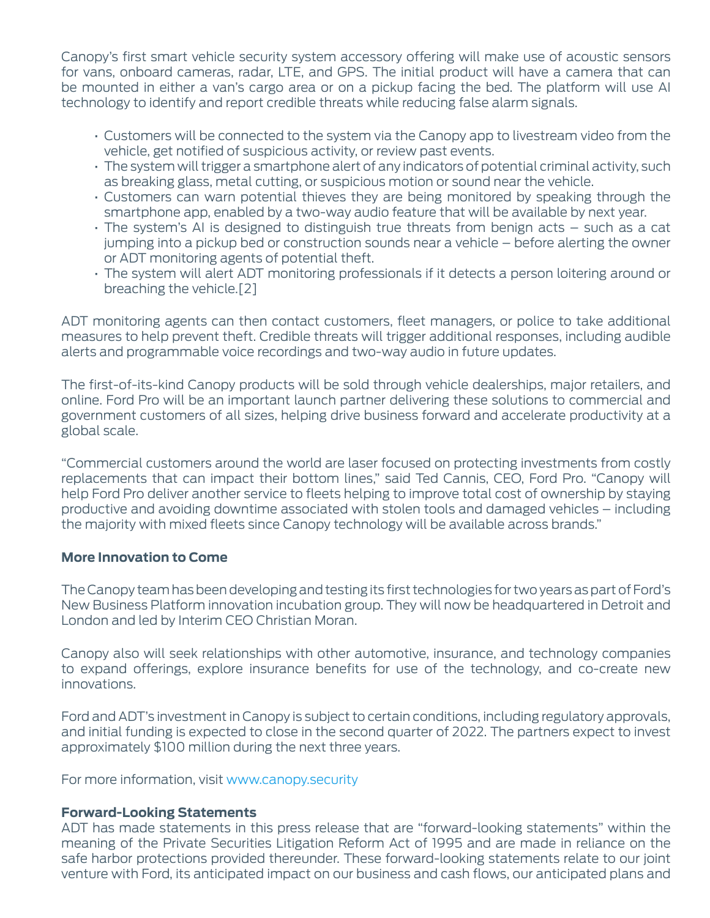Canopy's first smart vehicle security system accessory offering will make use of acoustic sensors for vans, onboard cameras, radar, LTE, and GPS. The initial product will have a camera that can be mounted in either a van's cargo area or on a pickup facing the bed. The platform will use AI technology to identify and report credible threats while reducing false alarm signals.

- Customers will be connected to the system via the Canopy app to livestream video from the vehicle, get notified of suspicious activity, or review past events.
- The system will trigger a smartphone alert of any indicators of potential criminal activity, such as breaking glass, metal cutting, or suspicious motion or sound near the vehicle.
- Customers can warn potential thieves they are being monitored by speaking through the smartphone app, enabled by a two-way audio feature that will be available by next year.
- The system's AI is designed to distinguish true threats from benign acts such as a cat jumping into a pickup bed or construction sounds near a vehicle – before alerting the owner or ADT monitoring agents of potential theft.
- The system will alert ADT monitoring professionals if it detects a person loitering around or breaching the vehicle.[2]

ADT monitoring agents can then contact customers, fleet managers, or police to take additional measures to help prevent theft. Credible threats will trigger additional responses, including audible alerts and programmable voice recordings and two-way audio in future updates.

The first-of-its-kind Canopy products will be sold through vehicle dealerships, major retailers, and online. Ford Pro will be an important launch partner delivering these solutions to commercial and government customers of all sizes, helping drive business forward and accelerate productivity at a global scale.

"Commercial customers around the world are laser focused on protecting investments from costly replacements that can impact their bottom lines," said Ted Cannis, CEO, Ford Pro. "Canopy will help Ford Pro deliver another service to fleets helping to improve total cost of ownership by staying productive and avoiding downtime associated with stolen tools and damaged vehicles – including the majority with mixed fleets since Canopy technology will be available across brands."

#### **More Innovation to Come**

The Canopy team has been developing and testing its first technologies for two years as part of Ford's New Business Platform innovation incubation group. They will now be headquartered in Detroit and London and led by Interim CEO Christian Moran.

Canopy also will seek relationships with other automotive, insurance, and technology companies to expand offerings, explore insurance benefits for use of the technology, and co-create new innovations.

Ford and ADT's investment in Canopy is subject to certain conditions, including regulatory approvals, and initial funding is expected to close in the second quarter of 2022. The partners expect to invest approximately \$100 million during the next three years.

For more information, visit [www.canopy.security](http://www.canopy.security/)

### **Forward-Looking Statements**

ADT has made statements in this press release that are "forward-looking statements" within the meaning of the Private Securities Litigation Reform Act of 1995 and are made in reliance on the safe harbor protections provided thereunder. These forward-looking statements relate to our joint venture with Ford, its anticipated impact on our business and cash flows, our anticipated plans and